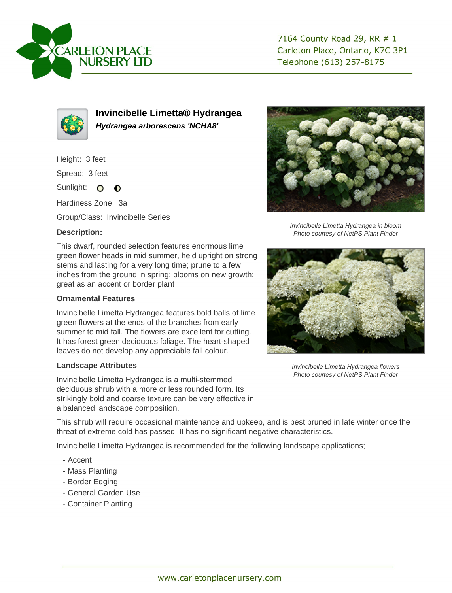

7164 County Road 29, RR # 1 Carleton Place, Ontario, K7C 3P1 Telephone (613) 257-8175



**Invincibelle Limetta® Hydrangea Hydrangea arborescens 'NCHA8'**

Height: 3 feet

Spread: 3 feet

Sunlight: O  $\bullet$ 

Hardiness Zone: 3a

Group/Class: Invincibelle Series

## **Description:**

This dwarf, rounded selection features enormous lime green flower heads in mid summer, held upright on strong stems and lasting for a very long time; prune to a few inches from the ground in spring; blooms on new growth; great as an accent or border plant

## **Ornamental Features**

Invincibelle Limetta Hydrangea features bold balls of lime green flowers at the ends of the branches from early summer to mid fall. The flowers are excellent for cutting. It has forest green deciduous foliage. The heart-shaped leaves do not develop any appreciable fall colour.

## **Landscape Attributes**

Invincibelle Limetta Hydrangea is a multi-stemmed deciduous shrub with a more or less rounded form. Its strikingly bold and coarse texture can be very effective in a balanced landscape composition.



Invincibelle Limetta Hydrangea in bloom Photo courtesy of NetPS Plant Finder



Invincibelle Limetta Hydrangea flowers Photo courtesy of NetPS Plant Finder

This shrub will require occasional maintenance and upkeep, and is best pruned in late winter once the threat of extreme cold has passed. It has no significant negative characteristics.

Invincibelle Limetta Hydrangea is recommended for the following landscape applications;

- Accent
- Mass Planting
- Border Edging
- General Garden Use
- Container Planting